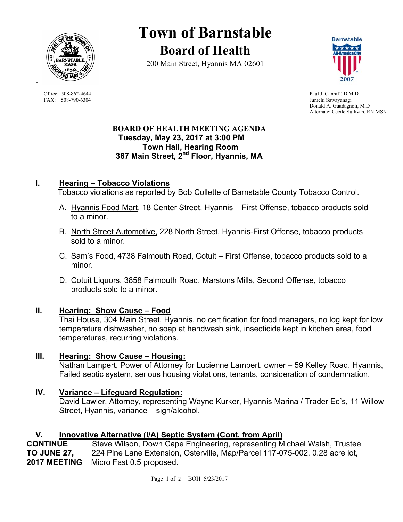

FAX: 508-790-6304 Junichi Sawayanagi

# **Town of Barnstable Board of Health**

200 Main Street, Hyannis MA 02601



Office: 508-862-4644 Paul J. Canniff, D.M.D. Donald A. Guadagnoli, M.D Alternate: Cecile Sullivan, RN,MSN

#### **BOARD OF HEALTH MEETING AGENDA Tuesday, May 23, 2017 at 3:00 PM Town Hall, Hearing Room 367 Main Street, 2nd Floor, Hyannis, MA**

# **I. Hearing – Tobacco Violations**

Tobacco violations as reported by Bob Collette of Barnstable County Tobacco Control.

- A. Hyannis Food Mart, 18 Center Street, Hyannis First Offense, tobacco products sold to a minor.
- B. North Street Automotive, 228 North Street, Hyannis-First Offense, tobacco products sold to a minor.
- C. Sam's Food, 4738 Falmouth Road, Cotuit First Offense, tobacco products sold to a minor.
- D. Cotuit Liquors, 3858 Falmouth Road, Marstons Mills, Second Offense, tobacco products sold to a minor.

# **II. Hearing: Show Cause – Food**

Thai House, 304 Main Street, Hyannis, no certification for food managers, no log kept for low temperature dishwasher, no soap at handwash sink, insecticide kept in kitchen area, food temperatures, recurring violations.

# **III. Hearing: Show Cause – Housing:**

Nathan Lampert, Power of Attorney for Lucienne Lampert, owner – 59 Kelley Road, Hyannis, Failed septic system, serious housing violations, tenants, consideration of condemnation.

# **IV. Variance – Lifeguard Regulation:**

David Lawler, Attorney, representing Wayne Kurker, Hyannis Marina / Trader Ed's, 11 Willow Street, Hyannis, variance – sign/alcohol.

# **V. Innovative Alternative (I/A) Septic System (Cont. from April)**

**CONTINUE** Steve Wilson, Down Cape Engineering, representing Michael Walsh, Trustee **TO JUNE 27,** 224 Pine Lane Extension, Osterville, Map/Parcel 117-075-002, 0.28 acre lot, **2017 MEETING** Micro Fast 0.5 proposed.